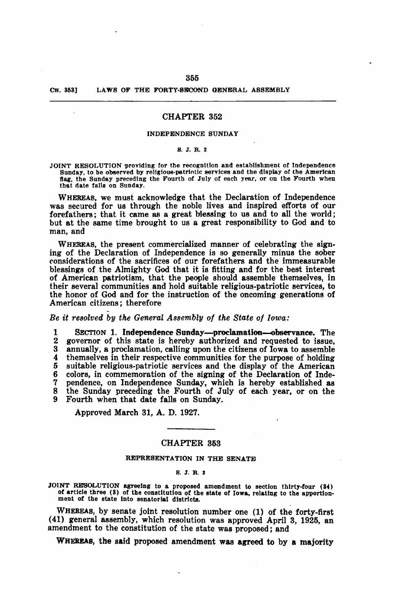355

# CH. 353] LAWS OF THE FORTY-SECOND GENERAL ASSEMBLY

## CHAPTER 352

## INDEPENDENCE SUNDAY

## S. J. R. 2

JOINT RESOLUTION providing for the recognition and establishment of Independence Sunday, to be observed by religious-patriotic services and the display of the American flag, the Sunday preceding the Fourth of July of each year, or on the Fourth when that date falls on Sunday.

WHEREAS, we must acknowledge that the Declaration of Independence was secured for us through the noble lives and inspired efforts of our forefathers; that it came as a great blessing to us and to all the world; but at the same time brought to us a great responsibility to God and to man, and

WHEREAS, the present commercialized manner of celebrating the signing of the Declaration of Independence is so generally minus the sober considerations of the sacrifices of our forefathers and the immeasurable blessings of the Almighty God that it is fitting and for the best interest of American patriotism, that the people should assemble themselves, in their several communities and hold suitable religious-patriotic services, to the honor of God and for the instruction of the oncoming generations of

Be it resolved by the General Assembly of the State of Iowa:

1 SECTION 1. **Independence Sunday—proclamation—observance.** The **2** governor of this state is hereby authorized and requested to issue. 2 governor of this state is hereby authorized and requested to issue,<br>3 annually, a proclamation, calling upon the citizens of Iowa to assemble 3 annually, a proclamation, calling upon the citizens of Iowa to assemble 4 themselves in their respective communities for the purpose of holding<br>5 suitable religious-patriotic services and the display of the American 5 suitable religious-patriotic services and the display of the American 6 colors, in commemoration of the signing of the Declaration of Inde-7 pendence, on Independence Sunday, which is hereby established as 8 the Sunday preceding the Fourth of July of each year, or on the 9 Fourth when that date falls on Sunday.

Approved March 31, A. D. 1927.

## CHAPTER 353

#### REPRESENTATION IN THE SENATE

#### S. J. R. a

JOINT RESOLUTION agreeing to a proposed amendment to section thirty-four (34) of article three (3) of the constitution of the state of Iowa, relating to the apportionment of the state into senatorial districts.

WHEREAS, by senate joint resolution number one (1) of the forty-first (41) general assembly, which resolution was approved April 3, 1925, an amendment to the constitution of the state was proposed; and

WHEREAS, the said proposed amendment was agreed to by a majority